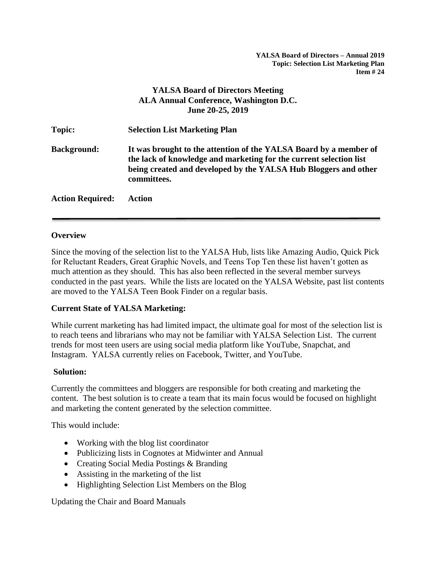**YALSA Board of Directors – Annual 2019 Topic: Selection List Marketing Plan Item # 24**

# **YALSA Board of Directors Meeting ALA Annual Conference, Washington D.C. June 20-25, 2019**

| <b>Topic:</b>           | <b>Selection List Marketing Plan</b>                                                                                                                                                                                      |
|-------------------------|---------------------------------------------------------------------------------------------------------------------------------------------------------------------------------------------------------------------------|
| <b>Background:</b>      | It was brought to the attention of the YALSA Board by a member of<br>the lack of knowledge and marketing for the current selection list<br>being created and developed by the YALSA Hub Bloggers and other<br>committees. |
| <b>Action Required:</b> | Action                                                                                                                                                                                                                    |

#### **Overview**

Since the moving of the selection list to the YALSA Hub, lists like Amazing Audio, Quick Pick for Reluctant Readers, Great Graphic Novels, and Teens Top Ten these list haven't gotten as much attention as they should. This has also been reflected in the several member surveys conducted in the past years. While the lists are located on the YALSA Website, past list contents are moved to the YALSA Teen Book Finder on a regular basis.

#### **Current State of YALSA Marketing:**

While current marketing has had limited impact, the ultimate goal for most of the selection list is to reach teens and librarians who may not be familiar with YALSA Selection List. The current trends for most teen users are using social media platform like YouTube, Snapchat, and Instagram. YALSA currently relies on Facebook, Twitter, and YouTube.

#### **Solution:**

Currently the committees and bloggers are responsible for both creating and marketing the content. The best solution is to create a team that its main focus would be focused on highlight and marketing the content generated by the selection committee.

This would include:

- Working with the blog list coordinator
- Publicizing lists in Cognotes at Midwinter and Annual
- Creating Social Media Postings & Branding
- Assisting in the marketing of the list
- Highlighting Selection List Members on the Blog

Updating the Chair and Board Manuals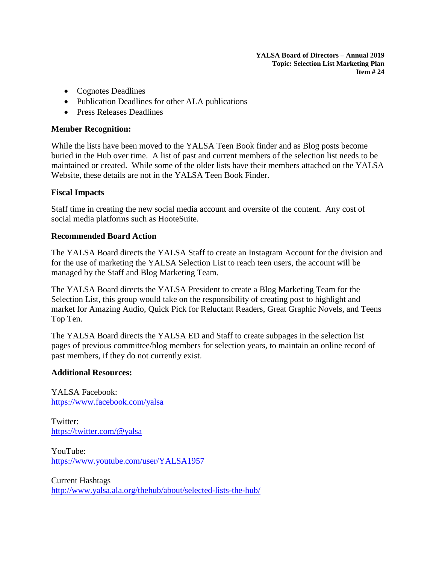**YALSA Board of Directors – Annual 2019 Topic: Selection List Marketing Plan Item # 24**

- Cognotes Deadlines
- Publication Deadlines for other ALA publications
- Press Releases Deadlines

## **Member Recognition:**

While the lists have been moved to the YALSA Teen Book finder and as Blog posts become buried in the Hub over time. A list of past and current members of the selection list needs to be maintained or created. While some of the older lists have their members attached on the YALSA Website, these details are not in the YALSA Teen Book Finder.

### **Fiscal Impacts**

Staff time in creating the new social media account and oversite of the content. Any cost of social media platforms such as HooteSuite.

### **Recommended Board Action**

The YALSA Board directs the YALSA Staff to create an Instagram Account for the division and for the use of marketing the YALSA Selection List to reach teen users, the account will be managed by the Staff and Blog Marketing Team.

The YALSA Board directs the YALSA President to create a Blog Marketing Team for the Selection List, this group would take on the responsibility of creating post to highlight and market for Amazing Audio, Quick Pick for Reluctant Readers, Great Graphic Novels, and Teens Top Ten.

The YALSA Board directs the YALSA ED and Staff to create subpages in the selection list pages of previous committee/blog members for selection years, to maintain an online record of past members, if they do not currently exist.

# **Additional Resources:**

YALSA Facebook: <https://www.facebook.com/yalsa>

Twitter: <https://twitter.com/@yalsa>

YouTube: <https://www.youtube.com/user/YALSA1957>

Current Hashtags <http://www.yalsa.ala.org/thehub/about/selected-lists-the-hub/>